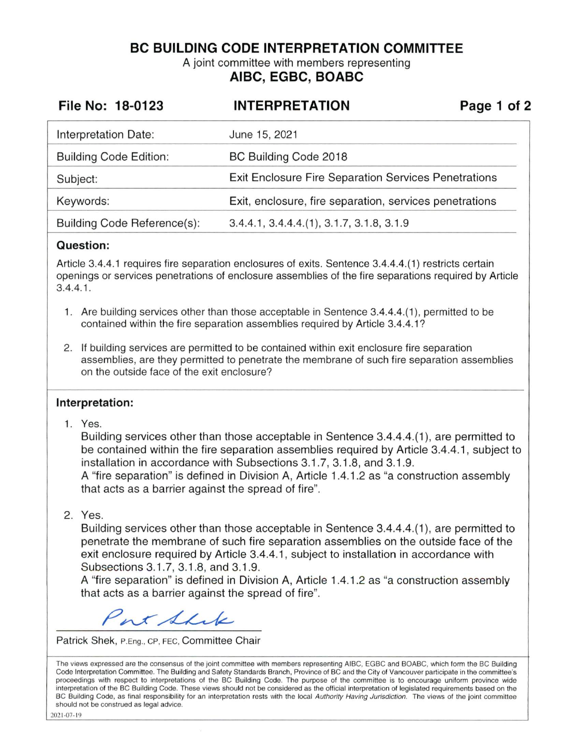**BC BUILDING CODE INTERPRETATION COMMITTEE** 

A joint committee with members representing **AIBC, EGBC, BOABC** 

| File No: 18-0123                   | <b>INTERPRETATION</b>                                       | Page 1 of 2 |
|------------------------------------|-------------------------------------------------------------|-------------|
| Interpretation Date:               | June 15, 2021                                               |             |
| <b>Building Code Edition:</b>      | BC Building Code 2018                                       |             |
| Subject:                           | <b>Exit Enclosure Fire Separation Services Penetrations</b> |             |
| Keywords:                          | Exit, enclosure, fire separation, services penetrations     |             |
| <b>Building Code Reference(s):</b> | 3.4.4.1, 3.4.4.4.(1), 3.1.7, 3.1.8, 3.1.9                   |             |

#### **Question:**

Article 3.4.4.1 requires fire separation enclosures of exits. Sentence 3.4.4.4.(1) restricts certain openings or services penetrations of enclosure assemblies of the fire separations required by Article 3.4.4.1.

- 1. Are building services other than those acceptable in Sentence 3.4.4.4.(1 ), permitted to be contained within the fire separation assemblies required by Article 3.4.4.1?
- 2. If building services are permitted to be contained within exit enclosure fire separation assemblies, are they permitted to penetrate the membrane of such fire separation assemblies on the outside face of the exit enclosure?

### **Interpretation:**

1. Yes.

Building services other than those acceptable in Sentence 3.4.4.4.(1 ), are permitted to be contained within the fire separation assemblies required by Article 3.4.4.1, subject to installation in accordance with Subsections 3.1.7, 3.1 .8, and 3.1 .9.

A "fire separation" is defined in Division A, Article 1.4.1.2 as "a construction assembly that acts as a barrier against the spread of fire".

2. Yes.

Building services other than those acceptable in Sentence 3.4.4.4.(1 ), are permitted to penetrate the membrane of such fire separation assemblies on the outside face of the exit enclosure required by Article 3.4.4.1, subject to installation in accordance with Subsections 3.1.7, 3.1.8, and 3.1.9.

A "fire separation" is defined in Division A, Article 1.4.1 .2 as "a construction assembly that acts as a barrier against the spread of fire".

Port Shake

Patrick Shek, P.Eng., CP, FEC, Committee Chair

The views expressed are the consensus of the joint committee with members representing AIBC, EGBC and BOABC, which fomi the BC Building Code Interpretation Committee. The Building and Safety Standards Branch, Province of BC and the City of Vancouver participate in the committee's proceedings with respect to interpretations of the BC Building Code. The purpose of the committee is to encourage uniform province wide interpretation of the BC Building Code. These views should not be considered as the official interpretation of legislated requirements based on the BC Building Code, as final responsibility for an interpretation rests with the local Authority Having Jurisdiction. The views of the joint committee should not be construed as legal advice.